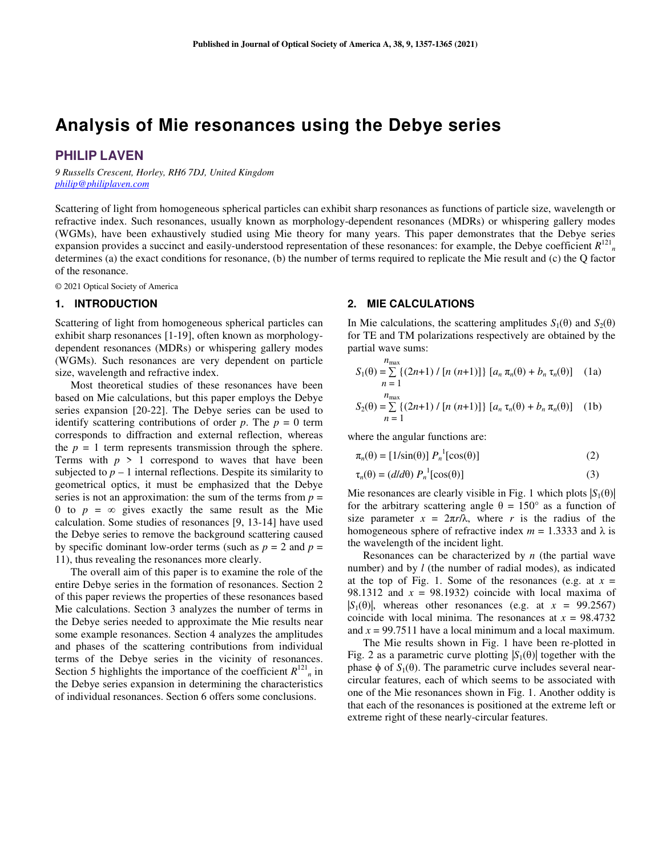# **Analysis of Mie resonances using the Debye series**

# **PHILIP LAVEN**

*9 Russells Crescent, Horley, RH6 7DJ, United Kingdom philip@philiplaven.com*

Scattering of light from homogeneous spherical particles can exhibit sharp resonances as functions of particle size, wavelength or refractive index. Such resonances, usually known as morphology-dependent resonances (MDRs) or whispering gallery modes (WGMs), have been exhaustively studied using Mie theory for many years. This paper demonstrates that the Debye series expansion provides a succinct and easily-understood representation of these resonances: for example, the Debye coefficient  $R^{121}$ <sub>n</sub> determines (a) the exact conditions for resonance, (b) the number of terms required to replicate the Mie result and (c) the Q factor of the resonance.

© 2021 Optical Society of America

## **1. INTRODUCTION**

Scattering of light from homogeneous spherical particles can exhibit sharp resonances [1-19], often known as morphologydependent resonances (MDRs) or whispering gallery modes (WGMs). Such resonances are very dependent on particle size, wavelength and refractive index.

Most theoretical studies of these resonances have been based on Mie calculations, but this paper employs the Debye series expansion [20-22]. The Debye series can be used to identify scattering contributions of order  $p$ . The  $p = 0$  term corresponds to diffraction and external reflection, whereas the  $p = 1$  term represents transmission through the sphere. Terms with  $p > 1$  correspond to waves that have been subjected to  $p - 1$  internal reflections. Despite its similarity to geometrical optics, it must be emphasized that the Debye series is not an approximation: the sum of the terms from  $p =$ 0 to  $p = \infty$  gives exactly the same result as the Mie calculation. Some studies of resonances [9, 13-14] have used the Debye series to remove the background scattering caused by specific dominant low-order terms (such as  $p = 2$  and  $p = 1$ 11), thus revealing the resonances more clearly.

The overall aim of this paper is to examine the role of the entire Debye series in the formation of resonances. Section 2 of this paper reviews the properties of these resonances based Mie calculations. Section 3 analyzes the number of terms in the Debye series needed to approximate the Mie results near some example resonances. Section 4 analyzes the amplitudes and phases of the scattering contributions from individual terms of the Debye series in the vicinity of resonances. Section 5 highlights the importance of the coefficient  $R^{121}$ <sub>n</sub> in the Debye series expansion in determining the characteristics of individual resonances. Section 6 offers some conclusions.

# **2. MIE CALCULATIONS**

In Mie calculations, the scattering amplitudes  $S_1(\theta)$  and  $S_2(\theta)$ for TE and TM polarizations respectively are obtained by the partial wave sums:

$$
S_1(\theta) = \sum_{n=1}^{n_{\text{max}}} \{(2n+1) / [n (n+1)]\} [a_n \pi_n(\theta) + b_n \tau_n(\theta)] \quad (1a)
$$
  
\n
$$
S_2(\theta) = \sum_{n=1}^{n_{\text{max}}} \{(2n+1) / [n (n+1)]\} [a_n \tau_n(\theta) + b_n \pi_n(\theta)] \quad (1b)
$$

where the angular functions are:

$$
\pi_n(\theta) = [1/\sin(\theta)] P_n^{-1} [\cos(\theta)] \tag{2}
$$

$$
\tau_n(\theta) = (d/d\theta) P_n^{-1} [\cos(\theta)] \tag{3}
$$

Mie resonances are clearly visible in Fig. 1 which plots  $|S_1(\theta)|$ for the arbitrary scattering angle  $\theta = 150^{\circ}$  as a function of size parameter  $x = 2\pi r/\lambda$ , where *r* is the radius of the homogeneous sphere of refractive index  $m = 1.3333$  and  $\lambda$  is the wavelength of the incident light.

Resonances can be characterized by *n* (the partial wave number) and by *l* (the number of radial modes), as indicated at the top of Fig. 1. Some of the resonances (e.g. at  $x =$ 98.1312 and  $x = 98.1932$  coincide with local maxima of  $|S_1(\theta)|$ , whereas other resonances (e.g. at  $x = 99.2567$ ) coincide with local minima. The resonances at  $x = 98.4732$ and *x* = 99.7511 have a local minimum and a local maximum.

The Mie results shown in Fig. 1 have been re-plotted in Fig. 2 as a parametric curve plotting  $|S_1(\theta)|$  together with the phase φ of  $S_1(θ)$ . The parametric curve includes several nearcircular features, each of which seems to be associated with one of the Mie resonances shown in Fig. 1. Another oddity is that each of the resonances is positioned at the extreme left or extreme right of these nearly-circular features.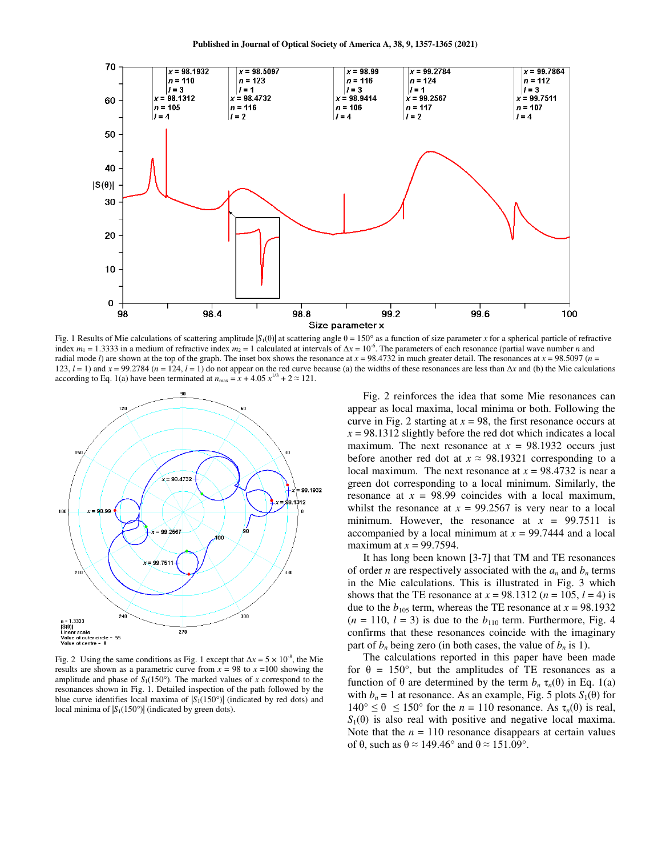

Fig. 1 Results of Mie calculations of scattering amplitude  $|S_1(\theta)|$  at scattering angle  $\theta = 150^\circ$  as a function of size parameter *x* for a spherical particle of refractive index  $m_1 = 1.3333$  in a medium of refractive index  $m_2 = 1$  calculated at intervals of  $\Delta x = 10^{-6}$ . The parameters of each resonance (partial wave number *n* and radial mode *l*) are shown at the top of the graph. The inset box shows the resonance at  $x = 98.4732$  in much greater detail. The resonances at  $x = 98.5097$  ( $n =$ 123, *l* = 1) and *x* = 99.2784 (*n* = 124, *l* = 1) do not appear on the red curve because (a) the widths of these resonances are less than Δ*x* and (b) the Mie calculations according to Eq. 1(a) have been terminated at  $n_{\text{max}} = x + 4.05 x^{1/3} + 2 \approx 121$ .



Fig. 2 Using the same conditions as Fig. 1 except that  $\Delta x = 5 \times 10^{-8}$ , the Mie results are shown as a parametric curve from  $x = 98$  to  $x = 100$  showing the amplitude and phase of  $S_1(150^\circ)$ . The marked values of *x* correspond to the resonances shown in Fig. 1. Detailed inspection of the path followed by the blue curve identifies local maxima of  $|S_1(150)$ <sup>o</sup>)| (indicated by red dots) and local minima of  $|S_1(150^\circ)|$  (indicated by green dots).

Fig. 2 reinforces the idea that some Mie resonances can appear as local maxima, local minima or both. Following the curve in Fig. 2 starting at  $x = 98$ , the first resonance occurs at  $x = 98.1312$  slightly before the red dot which indicates a local maximum. The next resonance at  $x = 98.1932$  occurs just before another red dot at  $x \approx 98.19321$  corresponding to a local maximum. The next resonance at  $x = 98.4732$  is near a green dot corresponding to a local minimum. Similarly, the resonance at  $x = 98.99$  coincides with a local maximum, whilst the resonance at  $x = 99.2567$  is very near to a local minimum. However, the resonance at  $x = 99.7511$  is accompanied by a local minimum at  $x = 99.7444$  and a local maximum at  $x = 99.7594$ .

It has long been known [3-7] that TM and TE resonances of order *n* are respectively associated with the  $a_n$  and  $b_n$  terms in the Mie calculations. This is illustrated in Fig. 3 which shows that the TE resonance at  $x = 98.1312$  ( $n = 105$ ,  $l = 4$ ) is due to the  $b_{105}$  term, whereas the TE resonance at  $x = 98.1932$  $(n = 110, l = 3)$  is due to the  $b_{110}$  term. Furthermore, Fig. 4 confirms that these resonances coincide with the imaginary part of  $b_n$  being zero (in both cases, the value of  $b_n$  is 1).

The calculations reported in this paper have been made for  $\theta = 150^{\circ}$ , but the amplitudes of TE resonances as a function of θ are determined by the term  $b_n$  τ<sub>n</sub>(θ) in Eq. 1(a) with  $b_n = 1$  at resonance. As an example, Fig. 5 plots  $S_1(\theta)$  for  $140^{\circ} \le \theta \le 150^{\circ}$  for the  $n = 110$  resonance. As  $\tau_n(\theta)$  is real,  $S_1(\theta)$  is also real with positive and negative local maxima. Note that the  $n = 110$  resonance disappears at certain values of θ, such as  $θ ≈ 149.46°$  and  $θ ≈ 151.09°$ .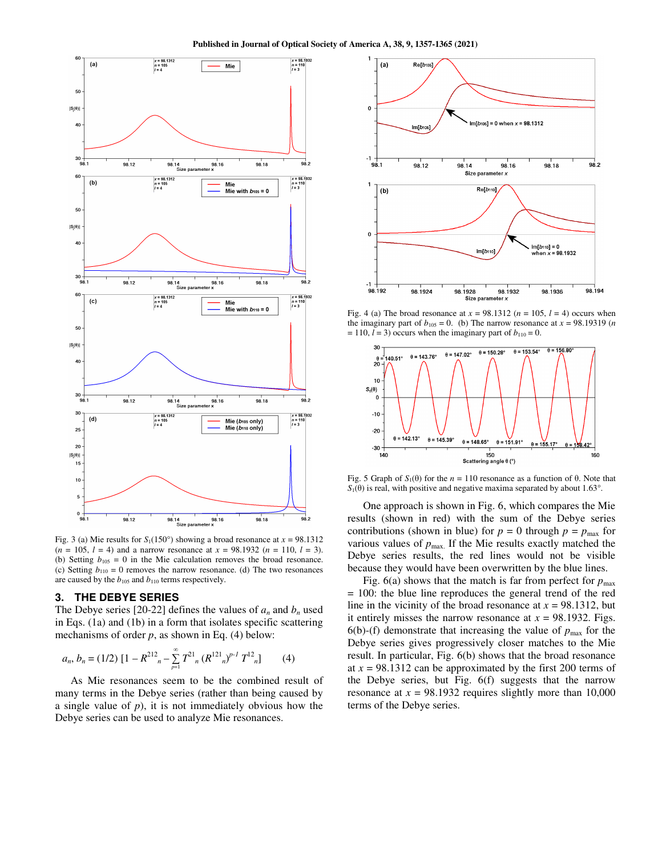**Published in Journal of Optical Society of America A, 38, 9, 1357-1365 (2021)**



Fig. 3 (a) Mie results for  $S_1(150^\circ)$  showing a broad resonance at  $x = 98.1312$  $(n = 105, l = 4)$  and a narrow resonance at  $x = 98.1932$   $(n = 110, l = 3)$ . (b) Setting  $b_{105} = 0$  in the Mie calculation removes the broad resonance. (c) Setting  $b_{110} = 0$  removes the narrow resonance. (d) The two resonances are caused by the  $b_{105}$  and  $b_{110}$  terms respectively.

#### **3. THE DEBYE SERIES**

The Debye series [20-22] defines the values of  $a_n$  and  $b_n$  used in Eqs. (1a) and (1b) in a form that isolates specific scattering mechanisms of order *p*, as shown in Eq. (4) below:

$$
a_n, b_n = (1/2) \left[ 1 - R^{212} \right]_n - \sum_{p=1}^{\infty} T^{21} \left( R^{121} \right)^{p-1} T^{12} \left( R^{121} \right) \tag{4}
$$

As Mie resonances seem to be the combined result of many terms in the Debye series (rather than being caused by a single value of *p*), it is not immediately obvious how the Debye series can be used to analyze Mie resonances.



Fig. 4 (a) The broad resonance at  $x = 98.1312$  ( $n = 105$ ,  $l = 4$ ) occurs when the imaginary part of  $b_{105} = 0$ . (b) The narrow resonance at  $x = 98.19319$  (*n*  $= 110$ ,  $l = 3$ ) occurs when the imaginary part of  $b_{110} = 0$ .



Fig. 5 Graph of  $S_1(\theta)$  for the  $n = 110$  resonance as a function of  $\theta$ . Note that  $S_1(\theta)$  is real, with positive and negative maxima separated by about 1.63°.

One approach is shown in Fig. 6, which compares the Mie results (shown in red) with the sum of the Debye series contributions (shown in blue) for  $p = 0$  through  $p = p_{\text{max}}$  for various values of  $p_{\text{max}}$ . If the Mie results exactly matched the Debye series results, the red lines would not be visible because they would have been overwritten by the blue lines.

Fig. 6(a) shows that the match is far from perfect for  $p_{\text{max}}$ = 100: the blue line reproduces the general trend of the red line in the vicinity of the broad resonance at  $x = 98.1312$ , but it entirely misses the narrow resonance at  $x = 98.1932$ . Figs.  $6(b)$ -(f) demonstrate that increasing the value of  $p_{\text{max}}$  for the Debye series gives progressively closer matches to the Mie result. In particular, Fig. 6(b) shows that the broad resonance at *x* = 98.1312 can be approximated by the first 200 terms of the Debye series, but Fig. 6(f) suggests that the narrow resonance at  $x = 98.1932$  requires slightly more than 10,000 terms of the Debye series.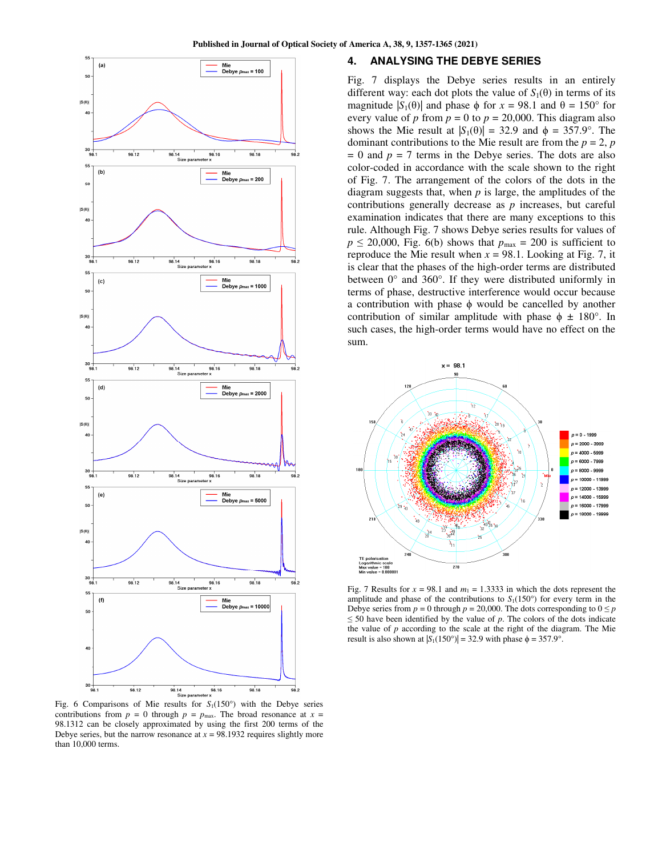

Fig. 6 Comparisons of Mie results for  $S_1(150^\circ)$  with the Debye series contributions from  $p = 0$  through  $p = p_{\text{max}}$ . The broad resonance at  $x =$ 98.1312 can be closely approximated by using the first 200 terms of the Debye series, but the narrow resonance at  $x = 98.1932$  requires slightly more than 10,000 terms.

## **4. ANALYSING THE DEBYE SERIES**

Fig. 7 displays the Debye series results in an entirely different way: each dot plots the value of  $S_1(\theta)$  in terms of its magnitude  $|S_1(\theta)|$  and phase  $\phi$  for  $x = 98.1$  and  $\theta = 150^\circ$  for every value of *p* from  $p = 0$  to  $p = 20,000$ . This diagram also shows the Mie result at  $|S_1(\theta)| = 32.9$  and  $\phi = 357.9^\circ$ . The dominant contributions to the Mie result are from the  $p = 2$ ,  $p$  $= 0$  and  $p = 7$  terms in the Debye series. The dots are also color-coded in accordance with the scale shown to the right of Fig. 7. The arrangement of the colors of the dots in the diagram suggests that, when *p* is large, the amplitudes of the contributions generally decrease as *p* increases, but careful examination indicates that there are many exceptions to this rule. Although Fig. 7 shows Debye series results for values of  $p \le 20,000$ , Fig. 6(b) shows that  $p_{\text{max}} = 200$  is sufficient to reproduce the Mie result when  $x = 98.1$ . Looking at Fig. 7, it is clear that the phases of the high-order terms are distributed between 0° and 360°. If they were distributed uniformly in terms of phase, destructive interference would occur because a contribution with phase  $\phi$  would be cancelled by another contribution of similar amplitude with phase  $\phi \pm 180^{\circ}$ . In such cases, the high-order terms would have no effect on the sum.



Fig. 7 Results for  $x = 98.1$  and  $m_1 = 1.3333$  in which the dots represent the amplitude and phase of the contributions to  $S_1(150^\circ)$  for every term in the Debye series from  $p = 0$  through  $p = 20,000$ . The dots corresponding to  $0 \leq p$  $\leq$  50 have been identified by the value of *p*. The colors of the dots indicate the value of *p* according to the scale at the right of the diagram. The Mie result is also shown at  $|S_1(150^\circ)| = 32.9$  with phase  $\phi = 357.9^\circ$ .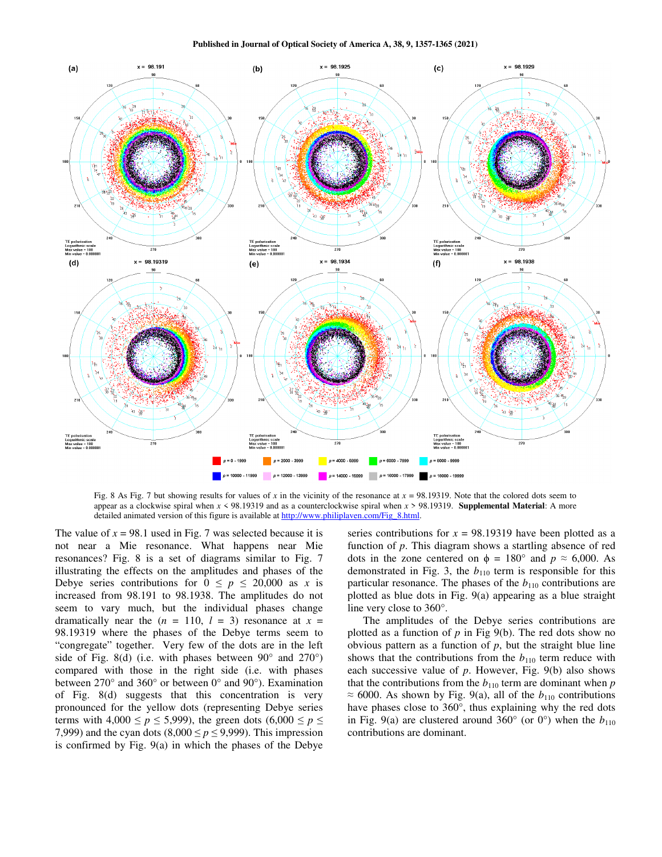

Fig. 8 As Fig. 7 but showing results for values of x in the vicinity of the resonance at  $x = 98.19319$ . Note that the colored dots seem to appear as a clockwise spiral when *x* < 98.19319 and as a counterclockwise spiral when *x* > 98.19319. **Supplemental Material**: A more detailed animated version of this figure is available at http://www.philiplaven.com/Fig\_8.html.

The value of  $x = 98.1$  used in Fig. 7 was selected because it is not near a Mie resonance. What happens near Mie resonances? Fig. 8 is a set of diagrams similar to Fig. 7 illustrating the effects on the amplitudes and phases of the Debye series contributions for  $0 \le p \le 20,000$  as *x* is increased from 98.191 to 98.1938. The amplitudes do not seem to vary much, but the individual phases change dramatically near the  $(n = 110, l = 3)$  resonance at  $x =$ 98.19319 where the phases of the Debye terms seem to "congregate" together. Very few of the dots are in the left side of Fig. 8(d) (i.e. with phases between  $90^{\circ}$  and  $270^{\circ}$ ) compared with those in the right side (i.e. with phases between 270° and 360° or between 0° and 90°). Examination of Fig. 8(d) suggests that this concentration is very pronounced for the yellow dots (representing Debye series terms with  $4,000 \le p \le 5,999$ ), the green dots  $(6,000 \le p \le$ 7,999) and the cyan dots (8,000  $\leq p \leq 9,999$ ). This impression is confirmed by Fig. 9(a) in which the phases of the Debye

series contributions for  $x = 98.19319$  have been plotted as a function of *p*. This diagram shows a startling absence of red dots in the zone centered on  $\phi = 180^\circ$  and  $p \approx 6,000$ . As demonstrated in Fig. 3, the  $b_{110}$  term is responsible for this particular resonance. The phases of the  $b_{110}$  contributions are plotted as blue dots in Fig. 9(a) appearing as a blue straight line very close to 360°.

The amplitudes of the Debye series contributions are plotted as a function of  $p$  in Fig 9(b). The red dots show no obvious pattern as a function of  $p$ , but the straight blue line shows that the contributions from the  $b_{110}$  term reduce with each successive value of *p*. However, Fig. 9(b) also shows that the contributions from the  $b_{110}$  term are dominant when  $p$  $\approx$  6000. As shown by Fig. 9(a), all of the  $b_{110}$  contributions have phases close to 360°, thus explaining why the red dots in Fig. 9(a) are clustered around  $360^{\circ}$  (or  $0^{\circ}$ ) when the  $b_{110}$ contributions are dominant.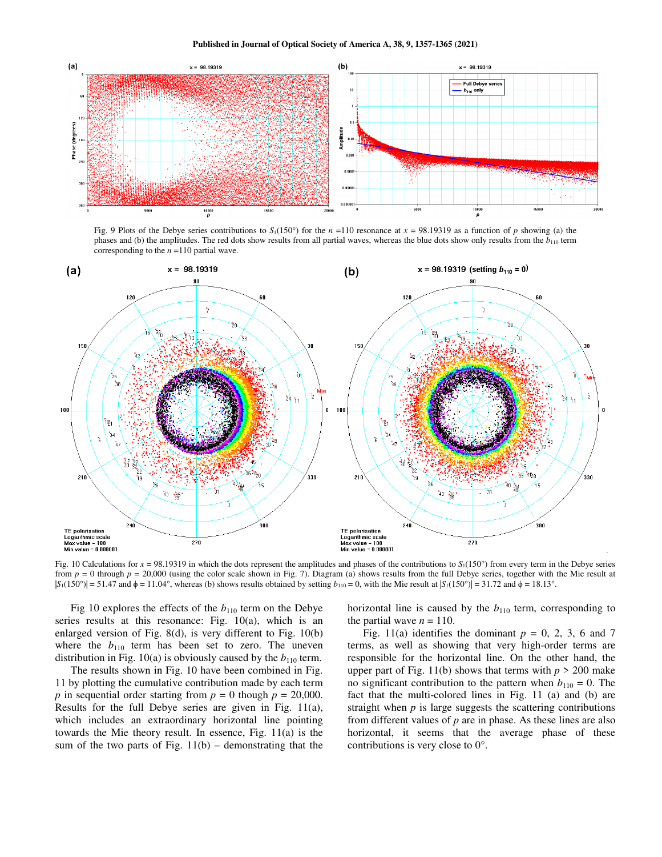

Fig. 9 Plots of the Debye series contributions to  $S_1(150^\circ)$  for the  $n = 110$  resonance at  $x = 98.19319$  as a function of *p* showing (a) the phases and (b) the amplitudes. The red dots show results from all partial waves, whereas the blue dots show only results from the *b*110 term corresponding to the *n* =110 partial wave.



Fig. 10 Calculations for  $x = 98.19319$  in which the dots represent the amplitudes and phases of the contributions to  $S_1(150^\circ)$  from every term in the Debye series from  $p = 0$  through  $p = 20,000$  (using the color scale shown in Fig. 7). Diagram (a) shows results from the full Debye series, together with the Mie result at  $|S_1(150^\circ)| = 51.47$  and  $\phi = 11.04^\circ$ , whereas (b) shows results obtained by setting  $b_{110} = 0$ , with the Mie result at  $|S_1(150^\circ)| = 31.72$  and  $\phi = 18.13^\circ$ .

Fig 10 explores the effects of the  $b_{110}$  term on the Debye series results at this resonance: Fig. 10(a), which is an enlarged version of Fig. 8(d), is very different to Fig. 10(b) where the  $b_{110}$  term has been set to zero. The uneven distribution in Fig. 10(a) is obviously caused by the  $b_{110}$  term.

The results shown in Fig. 10 have been combined in Fig. 11 by plotting the cumulative contribution made by each term *p* in sequential order starting from  $p = 0$  though  $p = 20,000$ . Results for the full Debye series are given in Fig. 11(a), which includes an extraordinary horizontal line pointing towards the Mie theory result. In essence, Fig. 11(a) is the sum of the two parts of Fig.  $11(b)$  – demonstrating that the

horizontal line is caused by the  $b_{110}$  term, corresponding to the partial wave  $n = 110$ .

Fig. 11(a) identifies the dominant  $p = 0, 2, 3, 6$  and 7 terms, as well as showing that very high-order terms are responsible for the horizontal line. On the other hand, the upper part of Fig. 11(b) shows that terms with  $p > 200$  make no significant contribution to the pattern when  $b_{110} = 0$ . The fact that the multi-colored lines in Fig. 11 (a) and (b) are straight when *p* is large suggests the scattering contributions from different values of *p* are in phase. As these lines are also horizontal, it seems that the average phase of these contributions is very close to 0°.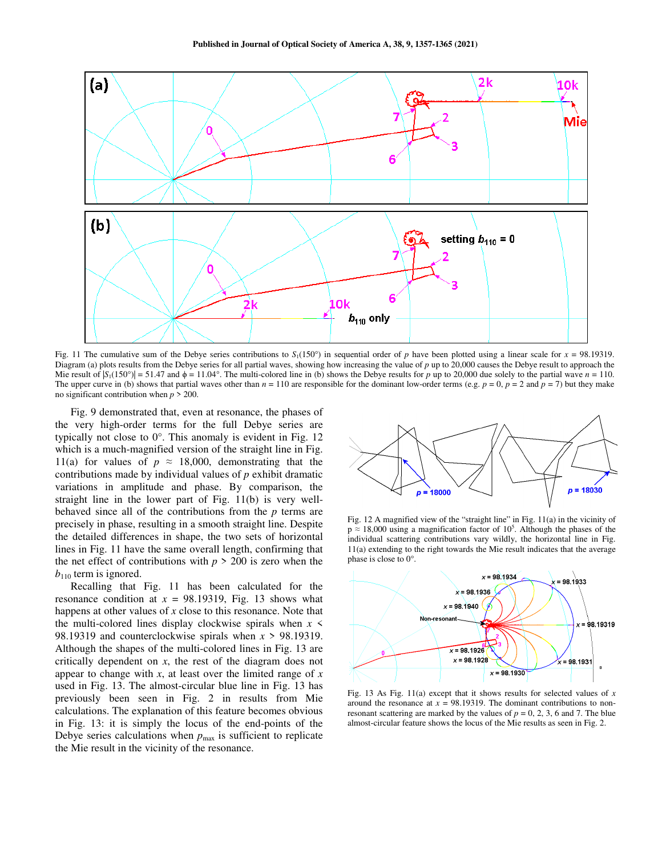

Fig. 11 The cumulative sum of the Debye series contributions to  $S<sub>1</sub>(150°)$  in sequential order of *p* have been plotted using a linear scale for *x* = 98.19319. Diagram (a) plots results from the Debye series for all partial waves, showing how increasing the value of *p* up to 20,000 causes the Debye result to approach the Mie result of  $|S_1(150^\circ)| = 51.47$  and  $\phi = 11.04^\circ$ . The multi-colored line in (b) shows the Debye results for *p* up to 20,000 due solely to the partial wave *n* = 110. The upper curve in (b) shows that partial waves other than  $n = 110$  are responsible for the dominant low-order terms (e.g.  $p = 0$ ,  $p = 2$  and  $p = 7$ ) but they make no significant contribution when *p* > 200.

Fig. 9 demonstrated that, even at resonance, the phases of the very high-order terms for the full Debye series are typically not close to 0°. This anomaly is evident in Fig. 12 which is a much-magnified version of the straight line in Fig. 11(a) for values of  $p \approx 18,000$ , demonstrating that the contributions made by individual values of *p* exhibit dramatic variations in amplitude and phase. By comparison, the straight line in the lower part of Fig. 11(b) is very wellbehaved since all of the contributions from the *p* terms are precisely in phase, resulting in a smooth straight line. Despite the detailed differences in shape, the two sets of horizontal lines in Fig. 11 have the same overall length, confirming that the net effect of contributions with  $p > 200$  is zero when the  $b_{110}$  term is ignored.

Recalling that Fig. 11 has been calculated for the resonance condition at  $x = 98.19319$ , Fig. 13 shows what happens at other values of *x* close to this resonance. Note that the multi-colored lines display clockwise spirals when  $x \leq$ 98.19319 and counterclockwise spirals when *x* > 98.19319. Although the shapes of the multi-colored lines in Fig. 13 are critically dependent on *x*, the rest of the diagram does not appear to change with *x*, at least over the limited range of *x* used in Fig. 13. The almost-circular blue line in Fig. 13 has previously been seen in Fig. 2 in results from Mie calculations. The explanation of this feature becomes obvious in Fig. 13: it is simply the locus of the end-points of the Debye series calculations when  $p_{\text{max}}$  is sufficient to replicate the Mie result in the vicinity of the resonance.



Fig. 12 A magnified view of the "straight line" in Fig. 11(a) in the vicinity of  $p \approx 18,000$  using a magnification factor of  $10^5$ . Although the phases of the individual scattering contributions vary wildly, the horizontal line in Fig. 11(a) extending to the right towards the Mie result indicates that the average phase is close to 0°.



Fig. 13 As Fig. 11(a) except that it shows results for selected values of *x* around the resonance at  $x = 98.19319$ . The dominant contributions to nonresonant scattering are marked by the values of  $p = 0, 2, 3, 6$  and 7. The blue almost-circular feature shows the locus of the Mie results as seen in Fig. 2.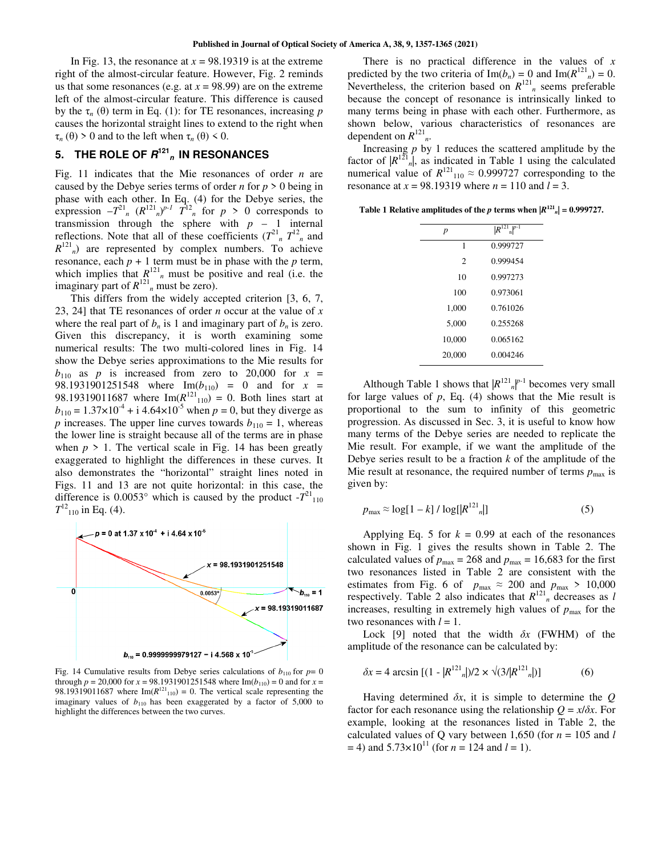In Fig. 13, the resonance at  $x = 98.19319$  is at the extreme right of the almost-circular feature. However, Fig. 2 reminds us that some resonances (e.g. at  $x = 98.99$ ) are on the extreme left of the almost-circular feature. This difference is caused by the  $τ_n$  (θ) term in Eq. (1): for TE resonances, increasing *p* causes the horizontal straight lines to extend to the right when τ*n* (θ) > 0 and to the left when τ*n* (θ) < 0.

# 5. THE ROLE OF  $R^{121}$ <sub>n</sub> IN RESONANCES

Fig. 11 indicates that the Mie resonances of order *n* are caused by the Debye series terms of order *n* for  $p > 0$  being in phase with each other. In Eq. (4) for the Debye series, the expression  $-T^{21}$ <sup>n</sup>  $(R^{121}n)^{p-1}$   $T^{12}$ <sup>n</sup> for  $p > 0$  corresponds to transmission through the sphere with  $p - 1$  internal reflections. Note that all of these coefficients  $(T^{21}$ <sub>n</sub>  $T^{12}$ <sub>n</sub> and  $R^{121}$ <sub>n</sub>) are represented by complex numbers. To achieve resonance, each  $p + 1$  term must be in phase with the  $p$  term, which implies that  $R^{121}$ <sup>n</sup> must be positive and real (i.e. the imaginary part of  $R^{121}$ <sub>n</sub> must be zero).

This differs from the widely accepted criterion [3, 6, 7, 23, 24] that TE resonances of order *n* occur at the value of *x* where the real part of  $b_n$  is 1 and imaginary part of  $b_n$  is zero. Given this discrepancy, it is worth examining some numerical results: The two multi-colored lines in Fig. 14 show the Debye series approximations to the Mie results for  $b_{110}$  as *p* is increased from zero to 20,000 for  $x =$ 98.1931901251548 where  $Im(b_{110}) = 0$  and for  $x =$ 98.19319011687 where  $Im(R^{121}_{110}) = 0$ . Both lines start at  $b_{110} = 1.37 \times 10^{-4} + i 4.64 \times 10^{-5}$  when  $p = 0$ , but they diverge as *p* increases. The upper line curves towards  $b_{110} = 1$ , whereas the lower line is straight because all of the terms are in phase when  $p > 1$ . The vertical scale in Fig. 14 has been greatly exaggerated to highlight the differences in these curves. It also demonstrates the "horizontal" straight lines noted in Figs. 11 and 13 are not quite horizontal: in this case, the difference is  $0.0053^{\circ}$  which is caused by the product  $-7^{21}$ <sub>110</sub>  $T^{12}_{110}$  in Eq. (4).



Fig. 14 Cumulative results from Debye series calculations of  $b_{110}$  for  $p=0$ through  $p = 20,000$  for  $x = 98.1931901251548$  where Im( $b_{110}$ ) = 0 and for  $x =$ 98.19319011687 where  $Im(R^{121}_{110}) = 0$ . The vertical scale representing the imaginary values of  $b_{110}$  has been exaggerated by a factor of 5,000 to highlight the differences between the two curves.

There is no practical difference in the values of *x* predicted by the two criteria of  $\text{Im}(b_n) = 0$  and  $\text{Im}(R^{121}n) = 0$ . Nevertheless, the criterion based on  $R^{121}$ <sub>n</sub> seems preferable because the concept of resonance is intrinsically linked to many terms being in phase with each other. Furthermore, as shown below, various characteristics of resonances are dependent on  $R^{121}$ <sub>*n*</sub>.

Increasing *p* by 1 reduces the scattered amplitude by the factor of  $|R^{121}$ <sub>n</sub>, as indicated in Table 1 using the calculated numerical value of  $R^{121}_{110} \approx 0.999727$  corresponding to the resonance at *x* = 98.19319 where *n* = 110 and *l* = 3.

**Table 1 Relative amplitudes of the** *p* **terms when**  $|R^{121}n| = 0.999727$ **.** 

| p              | $\overline{R}^{121}$ <sub>n</sub> $^{p-1}$ |  |  |
|----------------|--------------------------------------------|--|--|
| 1              | 0.999727                                   |  |  |
| $\overline{c}$ | 0.999454                                   |  |  |
| 10             | 0.997273                                   |  |  |
| 100            | 0.973061                                   |  |  |
| 1.000          | 0.761026                                   |  |  |
| 5.000          | 0.255268                                   |  |  |
| 10,000         | 0.065162                                   |  |  |
| 20,000         | 0.004246                                   |  |  |
|                |                                            |  |  |

Although Table 1 shows that  $|R^{121}n|^{p-1}$  becomes very small for large values of *p*, Eq. (4) shows that the Mie result is proportional to the sum to infinity of this geometric progression. As discussed in Sec. 3, it is useful to know how many terms of the Debye series are needed to replicate the Mie result. For example, if we want the amplitude of the Debye series result to be a fraction *k* of the amplitude of the Mie result at resonance, the required number of terms  $p_{\text{max}}$  is given by:

$$
p_{\text{max}} \approx \log[1 - k] / \log[|R^{121}|] \tag{5}
$$

Applying Eq. 5 for  $k = 0.99$  at each of the resonances shown in Fig. 1 gives the results shown in Table 2. The calculated values of  $p_{\text{max}} = 268$  and  $p_{\text{max}} = 16,683$  for the first two resonances listed in Table 2 are consistent with the estimates from Fig. 6 of  $p_{\text{max}} \approx 200$  and  $p_{\text{max}} > 10,000$ respectively. Table 2 also indicates that  $R^{121}$ <sup>n</sup> decreases as *l* increases, resulting in extremely high values of  $p_{\text{max}}$  for the two resonances with  $l = 1$ .

Lock [9] noted that the width *δx* (FWHM) of the amplitude of the resonance can be calculated by:

$$
\delta x = 4 \arcsin \left[ (1 - |R^{121}|)/2 \times \sqrt{(3/|R^{121}|)} \right] \tag{6}
$$

Having determined *δx*, it is simple to determine the *Q* factor for each resonance using the relationship  $Q = x/\delta x$ . For example, looking at the resonances listed in Table 2, the calculated values of Q vary between 1,650 (for  $n = 105$  and *l*  $= 4$ ) and  $5.73 \times 10^{11}$  (for  $n = 124$  and  $l = 1$ ).